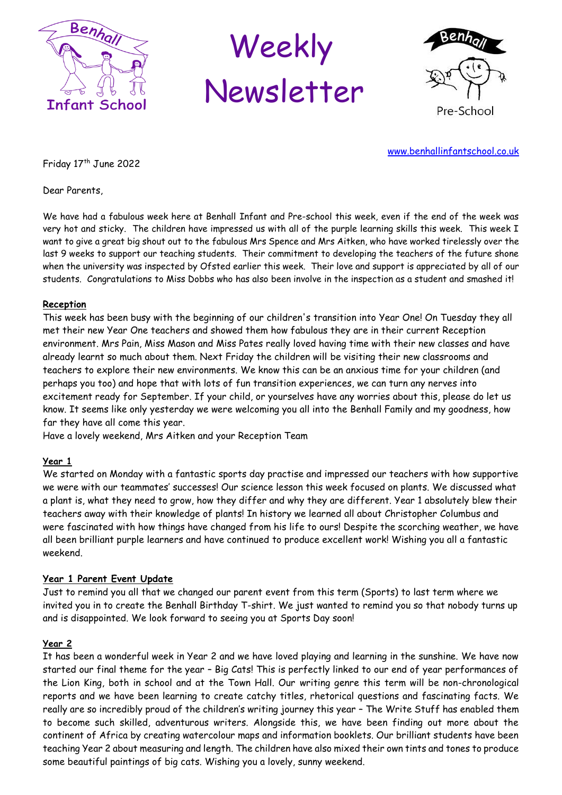

# Weekly Newsletter



[www.benhallinfantschool.co.uk](http://www.benhallinfants.ik.org/)

Friday 17<sup>th</sup> June 2022

Dear Parents,

We have had a fabulous week here at Benhall Infant and Pre-school this week, even if the end of the week was very hot and sticky. The children have impressed us with all of the purple learning skills this week. This week I want to give a great big shout out to the fabulous Mrs Spence and Mrs Aitken, who have worked tirelessly over the last 9 weeks to support our teaching students. Their commitment to developing the teachers of the future shone when the university was inspected by Ofsted earlier this week. Their love and support is appreciated by all of our students. Congratulations to Miss Dobbs who has also been involve in the inspection as a student and smashed it!

# **Reception**

This week has been busy with the beginning of our children's transition into Year One! On Tuesday they all met their new Year One teachers and showed them how fabulous they are in their current Reception environment. Mrs Pain, Miss Mason and Miss Pates really loved having time with their new classes and have already learnt so much about them. Next Friday the children will be visiting their new classrooms and teachers to explore their new environments. We know this can be an anxious time for your children (and perhaps you too) and hope that with lots of fun transition experiences, we can turn any nerves into excitement ready for September. If your child, or yourselves have any worries about this, please do let us know. It seems like only yesterday we were welcoming you all into the Benhall Family and my goodness, how far they have all come this year.

Have a lovely weekend, Mrs Aitken and your Reception Team

# **Year 1**

We started on Monday with a fantastic sports day practise and impressed our teachers with how supportive we were with our teammates' successes! Our science lesson this week focused on plants. We discussed what a plant is, what they need to grow, how they differ and why they are different. Year 1 absolutely blew their teachers away with their knowledge of plants! In history we learned all about Christopher Columbus and were fascinated with how things have changed from his life to ours! Despite the scorching weather, we have all been brilliant purple learners and have continued to produce excellent work! Wishing you all a fantastic weekend.

# **Year 1 Parent Event Update**

Just to remind you all that we changed our parent event from this term (Sports) to last term where we invited you in to create the Benhall Birthday T-shirt. We just wanted to remind you so that nobody turns up and is disappointed. We look forward to seeing you at Sports Day soon!

# **Year 2**

It has been a wonderful week in Year 2 and we have loved playing and learning in the sunshine. We have now started our final theme for the year – Big Cats! This is perfectly linked to our end of year performances of the Lion King, both in school and at the Town Hall. Our writing genre this term will be non-chronological reports and we have been learning to create catchy titles, rhetorical questions and fascinating facts. We really are so incredibly proud of the children's writing journey this year – The Write Stuff has enabled them to become such skilled, adventurous writers. Alongside this, we have been finding out more about the continent of Africa by creating watercolour maps and information booklets. Our brilliant students have been teaching Year 2 about measuring and length. The children have also mixed their own tints and tones to produce some beautiful paintings of big cats. Wishing you a lovely, sunny weekend.